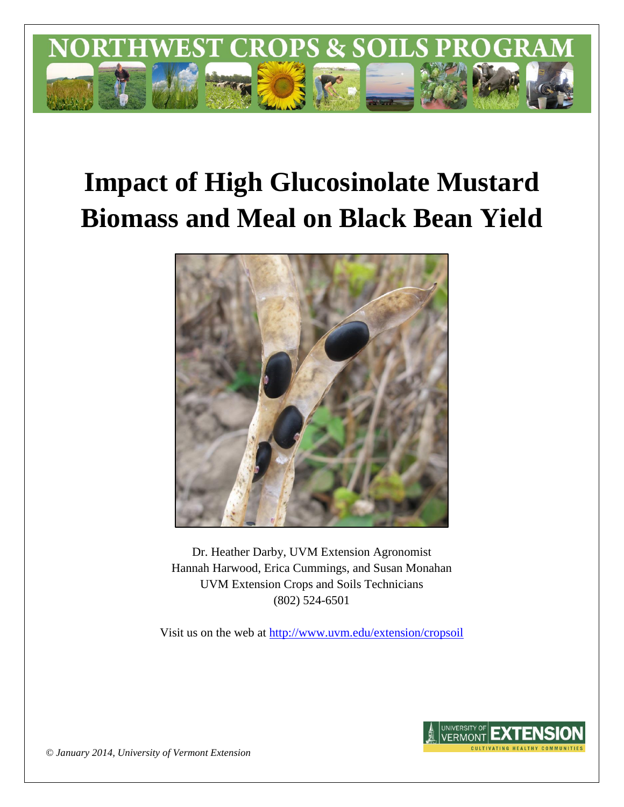

# **Impact of High Glucosinolate Mustard Biomass and Meal on Black Bean Yield**



Dr. Heather Darby, UVM Extension Agronomist Hannah Harwood, Erica Cummings, and Susan Monahan UVM Extension Crops and Soils Technicians (802) 524-6501

Visit us on the web at <http://www.uvm.edu/extension/cropsoil>



*© January 2014, University of Vermont Extension*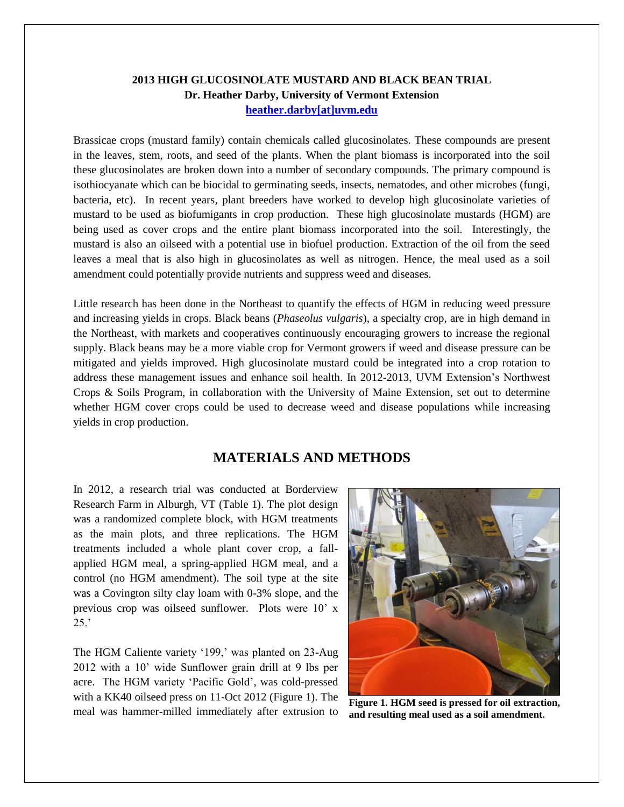#### **2013 HIGH GLUCOSINOLATE MUSTARD AND BLACK BEAN TRIAL Dr. Heather Darby, University of Vermont Extension [heather.darby\[at\]uvm.edu](mailto:heather.darby@uvm.edu?subject=2013%20HGM%20Black%20Bean%20Trial)**

Brassicae crops (mustard family) contain chemicals called glucosinolates. These compounds are present in the leaves, stem, roots, and seed of the plants. When the plant biomass is incorporated into the soil these glucosinolates are broken down into a number of secondary compounds. The primary compound is isothiocyanate which can be biocidal to germinating seeds, insects, nematodes, and other microbes (fungi, bacteria, etc). In recent years, plant breeders have worked to develop high glucosinolate varieties of mustard to be used as biofumigants in crop production. These high glucosinolate mustards (HGM) are being used as cover crops and the entire plant biomass incorporated into the soil. Interestingly, the mustard is also an oilseed with a potential use in biofuel production. Extraction of the oil from the seed leaves a meal that is also high in glucosinolates as well as nitrogen. Hence, the meal used as a soil amendment could potentially provide nutrients and suppress weed and diseases.

Little research has been done in the Northeast to quantify the effects of HGM in reducing weed pressure and increasing yields in crops. Black beans (*Phaseolus vulgaris*), a specialty crop, are in high demand in the Northeast, with markets and cooperatives continuously encouraging growers to increase the regional supply. Black beans may be a more viable crop for Vermont growers if weed and disease pressure can be mitigated and yields improved. High glucosinolate mustard could be integrated into a crop rotation to address these management issues and enhance soil health. In 2012-2013, UVM Extension's Northwest Crops & Soils Program, in collaboration with the University of Maine Extension, set out to determine whether HGM cover crops could be used to decrease weed and disease populations while increasing yields in crop production.

### **MATERIALS AND METHODS**

In 2012, a research trial was conducted at Borderview Research Farm in Alburgh, VT (Table 1). The plot design was a randomized complete block, with HGM treatments as the main plots, and three replications. The HGM treatments included a whole plant cover crop, a fallapplied HGM meal, a spring-applied HGM meal, and a control (no HGM amendment). The soil type at the site was a Covington silty clay loam with 0-3% slope, and the previous crop was oilseed sunflower. Plots were 10' x 25.'

The HGM Caliente variety '199,' was planted on 23-Aug 2012 with a 10' wide Sunflower grain drill at 9 lbs per acre. The HGM variety 'Pacific Gold', was cold-pressed with a KK40 oilseed press on 11-Oct 2012 (Figure 1). The meal was hammer-milled immediately after extrusion to



**Figure 1. HGM seed is pressed for oil extraction, and resulting meal used as a soil amendment.**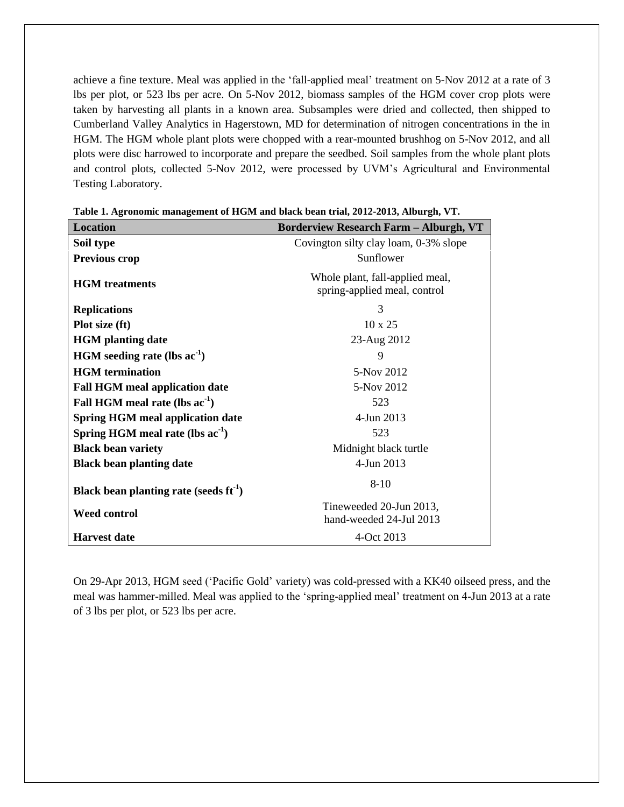achieve a fine texture. Meal was applied in the 'fall-applied meal' treatment on 5-Nov 2012 at a rate of 3 lbs per plot, or 523 lbs per acre. On 5-Nov 2012, biomass samples of the HGM cover crop plots were taken by harvesting all plants in a known area. Subsamples were dried and collected, then shipped to Cumberland Valley Analytics in Hagerstown, MD for determination of nitrogen concentrations in the in HGM. The HGM whole plant plots were chopped with a rear-mounted brushhog on 5-Nov 2012, and all plots were disc harrowed to incorporate and prepare the seedbed. Soil samples from the whole plant plots and control plots, collected 5-Nov 2012, were processed by UVM's Agricultural and Environmental Testing Laboratory.

| <b>Location</b>                             | <b>Borderview Research Farm - Alburgh, VT</b>                   |
|---------------------------------------------|-----------------------------------------------------------------|
| Soil type                                   | Covington silty clay loam, 0-3% slope                           |
| <b>Previous crop</b>                        | Sunflower                                                       |
| <b>HGM</b> treatments                       | Whole plant, fall-applied meal,<br>spring-applied meal, control |
| <b>Replications</b>                         | 3                                                               |
| Plot size (ft)                              | $10 \times 25$                                                  |
| <b>HGM</b> planting date                    | 23-Aug 2012                                                     |
| $HGM$ seeding rate (lbs ac <sup>-1</sup> )  | 9                                                               |
| <b>HGM</b> termination                      | 5-Nov 2012                                                      |
| <b>Fall HGM meal application date</b>       | 5-Nov 2012                                                      |
| Fall HGM meal rate (lbs $ac^{-1}$ )         | 523                                                             |
| <b>Spring HGM meal application date</b>     | 4-Jun 2013                                                      |
| Spring HGM meal rate (lbs $ac^{-1}$ )       | 523                                                             |
| <b>Black bean variety</b>                   | Midnight black turtle                                           |
| <b>Black bean planting date</b>             | 4-Jun 2013                                                      |
| Black bean planting rate (seeds $ft^{-1}$ ) | $8 - 10$                                                        |
| <b>Weed control</b>                         | Tineweeded 20-Jun 2013,<br>hand-weeded 24-Jul 2013              |
| <b>Harvest</b> date                         | 4-Oct 2013                                                      |

**Table 1. Agronomic management of HGM and black bean trial, 2012-2013, Alburgh, VT.**

On 29-Apr 2013, HGM seed ('Pacific Gold' variety) was cold-pressed with a KK40 oilseed press, and the meal was hammer-milled. Meal was applied to the 'spring-applied meal' treatment on 4-Jun 2013 at a rate of 3 lbs per plot, or 523 lbs per acre.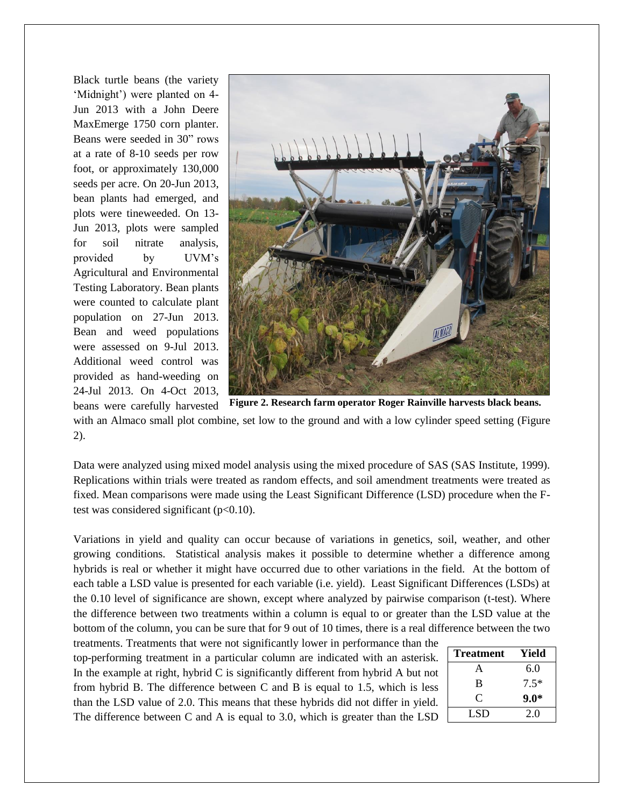Black turtle beans (the variety 'Midnight') were planted on 4- Jun 2013 with a John Deere MaxEmerge 1750 corn planter. Beans were seeded in 30" rows at a rate of 8-10 seeds per row foot, or approximately 130,000 seeds per acre. On 20-Jun 2013, bean plants had emerged, and plots were tineweeded. On 13- Jun 2013, plots were sampled for soil nitrate analysis, provided by UVM's Agricultural and Environmental Testing Laboratory. Bean plants were counted to calculate plant population on 27-Jun 2013. Bean and weed populations were assessed on 9-Jul 2013. Additional weed control was provided as hand-weeding on 24-Jul 2013. On 4-Oct 2013,



beans were carefully harvested with an Almaco small plot combine, set low to the ground and with a low cylinder speed setting (Figure 2).

Data were analyzed using mixed model analysis using the mixed procedure of SAS (SAS Institute, 1999). Replications within trials were treated as random effects, and soil amendment treatments were treated as fixed. Mean comparisons were made using the Least Significant Difference (LSD) procedure when the Ftest was considered significant  $(p<0.10)$ .

Variations in yield and quality can occur because of variations in genetics, soil, weather, and other growing conditions. Statistical analysis makes it possible to determine whether a difference among hybrids is real or whether it might have occurred due to other variations in the field. At the bottom of each table a LSD value is presented for each variable (i.e. yield). Least Significant Differences (LSDs) at the 0.10 level of significance are shown, except where analyzed by pairwise comparison (t-test). Where the difference between two treatments within a column is equal to or greater than the LSD value at the bottom of the column, you can be sure that for 9 out of 10 times, there is a real difference between the two

treatments. Treatments that were not significantly lower in performance than the top-performing treatment in a particular column are indicated with an asterisk. In the example at right, hybrid C is significantly different from hybrid A but not from hybrid B. The difference between C and B is equal to 1.5, which is less than the LSD value of 2.0. This means that these hybrids did not differ in yield. The difference between C and A is equal to 3.0, which is greater than the LSD

| <b>Treatment</b> | Yield  |
|------------------|--------|
| A                | 6.0    |
| B                | $7.5*$ |
| C                | $9.0*$ |
| LSD              | 2.0    |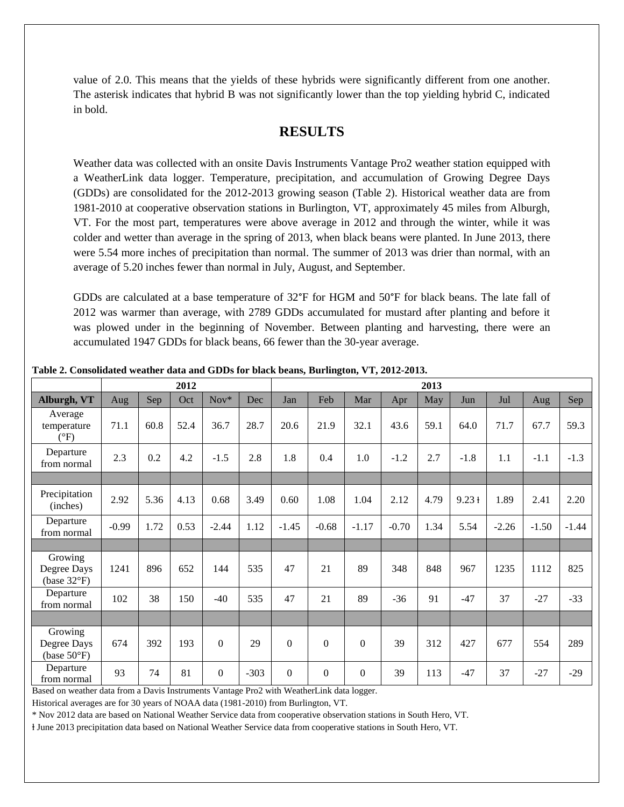value of 2.0. This means that the yields of these hybrids were significantly different from one another. The asterisk indicates that hybrid B was not significantly lower than the top yielding hybrid C, indicated in bold.

## **RESULTS**

Weather data was collected with an onsite Davis Instruments Vantage Pro2 weather station equipped with a WeatherLink data logger. Temperature, precipitation, and accumulation of Growing Degree Days (GDDs) are consolidated for the 2012-2013 growing season (Table 2). Historical weather data are from 1981-2010 at cooperative observation stations in Burlington, VT, approximately 45 miles from Alburgh, VT. For the most part, temperatures were above average in 2012 and through the winter, while it was colder and wetter than average in the spring of 2013, when black beans were planted. In June 2013, there were 5.54 more inches of precipitation than normal. The summer of 2013 was drier than normal, with an average of 5.20 inches fewer than normal in July, August, and September.

GDDs are calculated at a base temperature of 32°F for HGM and 50°F for black beans. The late fall of 2012 was warmer than average, with 2789 GDDs accumulated for mustard after planting and before it was plowed under in the beginning of November. Between planting and harvesting, there were an accumulated 1947 GDDs for black beans, 66 fewer than the 30-year average.

|                                                 | 2012       |      |      |                  |        | 2013             |                  |                  |         |      |          |         |         |         |
|-------------------------------------------------|------------|------|------|------------------|--------|------------------|------------------|------------------|---------|------|----------|---------|---------|---------|
| Alburgh, VT                                     | <b>Aug</b> | Sep  | Oct  | Nov*             | Dec    | Jan              | Feb              | Mar              | Apr     | May  | Jun      | Jul     | Aug     | Sep     |
| Average<br>temperature<br>$(^{\circ}F)$         | 71.1       | 60.8 | 52.4 | 36.7             | 28.7   | 20.6             | 21.9             | 32.1             | 43.6    | 59.1 | 64.0     | 71.7    | 67.7    | 59.3    |
| Departure<br>from normal                        | 2.3        | 0.2  | 4.2  | $-1.5$           | 2.8    | 1.8              | 0.4              | 1.0              | $-1.2$  | 2.7  | $-1.8$   | 1.1     | $-1.1$  | $-1.3$  |
|                                                 |            |      |      |                  |        |                  |                  |                  |         |      |          |         |         |         |
| Precipitation<br>(inches)                       | 2.92       | 5.36 | 4.13 | 0.68             | 3.49   | 0.60             | 1.08             | 1.04             | 2.12    | 4.79 | $9.23 +$ | 1.89    | 2.41    | 2.20    |
| Departure<br>from normal                        | $-0.99$    | 1.72 | 0.53 | $-2.44$          | 1.12   | $-1.45$          | $-0.68$          | $-1.17$          | $-0.70$ | 1.34 | 5.54     | $-2.26$ | $-1.50$ | $-1.44$ |
|                                                 |            |      |      |                  |        |                  |                  |                  |         |      |          |         |         |         |
| Growing<br>Degree Days<br>(base $32^{\circ}F$ ) | 1241       | 896  | 652  | 144              | 535    | 47               | 21               | 89               | 348     | 848  | 967      | 1235    | 1112    | 825     |
| Departure<br>from normal                        | 102        | 38   | 150  | $-40$            | 535    | 47               | 21               | 89               | $-36$   | 91   | $-47$    | 37      | $-27$   | $-33$   |
|                                                 |            |      |      |                  |        |                  |                  |                  |         |      |          |         |         |         |
| Growing<br>Degree Days<br>(base $50^{\circ}$ F) | 674        | 392  | 193  | $\mathbf{0}$     | 29     | $\boldsymbol{0}$ | $\overline{0}$   | $\boldsymbol{0}$ | 39      | 312  | 427      | 677     | 554     | 289     |
| Departure<br>from normal                        | 93         | 74   | 81   | $\boldsymbol{0}$ | $-303$ | $\boldsymbol{0}$ | $\boldsymbol{0}$ | $\mathbf{0}$     | 39      | 113  | $-47$    | 37      | $-27$   | $-29$   |

**Table 2. Consolidated weather data and GDDs for black beans, Burlington, VT, 2012-2013.**

Based on weather data from a Davis Instruments Vantage Pro2 with WeatherLink data logger.

Historical averages are for 30 years of NOAA data (1981-2010) from Burlington, VT.

\* Nov 2012 data are based on National Weather Service data from cooperative observation stations in South Hero, VT.

ⱡ June 2013 precipitation data based on National Weather Service data from cooperative stations in South Hero, VT.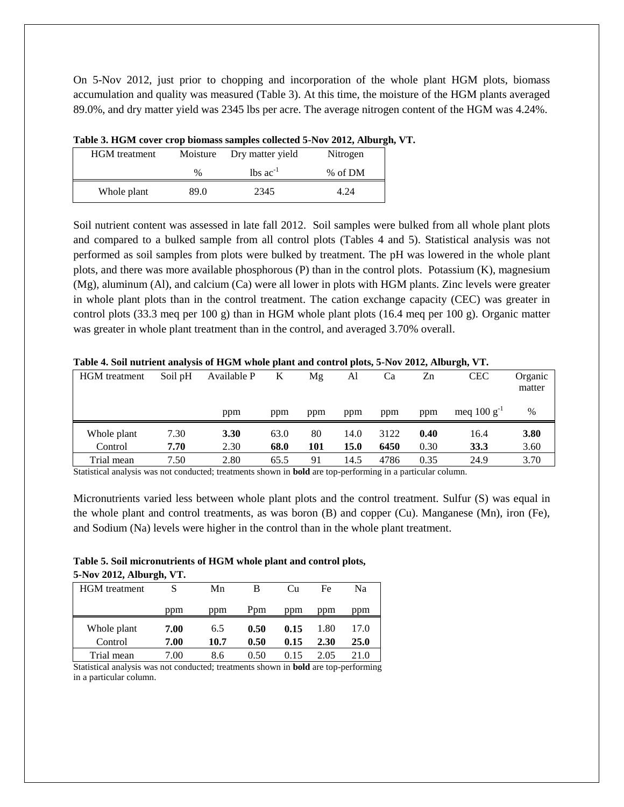On 5-Nov 2012, just prior to chopping and incorporation of the whole plant HGM plots, biomass accumulation and quality was measured (Table 3). At this time, the moisture of the HGM plants averaged 89.0%, and dry matter yield was 2345 lbs per acre. The average nitrogen content of the HGM was 4.24%.

| <b>HGM</b> treatment | Moisture | Dry matter yield       | Nitrogen |
|----------------------|----------|------------------------|----------|
|                      | $\%$     | $lbs$ ac <sup>-1</sup> | % of DM  |
| Whole plant          | 89.0     | 2345                   | 4.24     |

**Table 3. HGM cover crop biomass samples collected 5-Nov 2012, Alburgh, VT.**

Soil nutrient content was assessed in late fall 2012. Soil samples were bulked from all whole plant plots and compared to a bulked sample from all control plots (Tables 4 and 5). Statistical analysis was not performed as soil samples from plots were bulked by treatment. The pH was lowered in the whole plant plots, and there was more available phosphorous (P) than in the control plots. Potassium (K), magnesium (Mg), aluminum (Al), and calcium (Ca) were all lower in plots with HGM plants. Zinc levels were greater in whole plant plots than in the control treatment. The cation exchange capacity (CEC) was greater in control plots (33.3 meq per 100 g) than in HGM whole plant plots (16.4 meq per 100 g). Organic matter was greater in whole plant treatment than in the control, and averaged 3.70% overall.

| <b>HGM</b> treatment | Soil pH | Available P | K    | Μg  | Al   | Ca   | Zn   | <b>CEC</b>       | Organic<br>matter |
|----------------------|---------|-------------|------|-----|------|------|------|------------------|-------------------|
|                      |         | ppm         | ppm  | ppm | ppm  | ppm  | ppm  | meq $100 g^{-1}$ | $\%$              |
| Whole plant          | 7.30    | 3.30        | 63.0 | 80  | 14.0 | 3122 | 0.40 | 16.4             | 3.80              |
| Control              | 7.70    | 2.30        | 68.0 | 101 | 15.0 | 6450 | 0.30 | 33.3             | 3.60              |
| Trial mean           | 7.50    | 2.80        | 65.5 | 91  | 14.5 | 4786 | 0.35 | 24.9             | 3.70              |

**Table 4. Soil nutrient analysis of HGM whole plant and control plots, 5-Nov 2012, Alburgh, VT.**

Statistical analysis was not conducted; treatments shown in **bold** are top-performing in a particular column.

Micronutrients varied less between whole plant plots and the control treatment. Sulfur (S) was equal in the whole plant and control treatments, as was boron (B) and copper (Cu). Manganese (Mn), iron (Fe), and Sodium (Na) levels were higher in the control than in the whole plant treatment.

#### **Table 5. Soil micronutrients of HGM whole plant and control plots, 5-Nov 2012, Alburgh, VT.**

| <b>HGM</b> treatment   |              | Mn          | В            | Cu           | Fe           | Na           |
|------------------------|--------------|-------------|--------------|--------------|--------------|--------------|
|                        | ppm          | ppm         | Ppm          | ppm          | ppm          | ppm          |
| Whole plant<br>Control | 7.00<br>7.00 | 6.5<br>10.7 | 0.50<br>0.50 | 0.15<br>0.15 | 1.80<br>2.30 | 17.0<br>25.0 |
| Trial mean             | 7.00         | 8.6         | 0.50         | 0.15         | 2.05         | 21.0         |

Statistical analysis was not conducted; treatments shown in **bold** are top-performing in a particular column.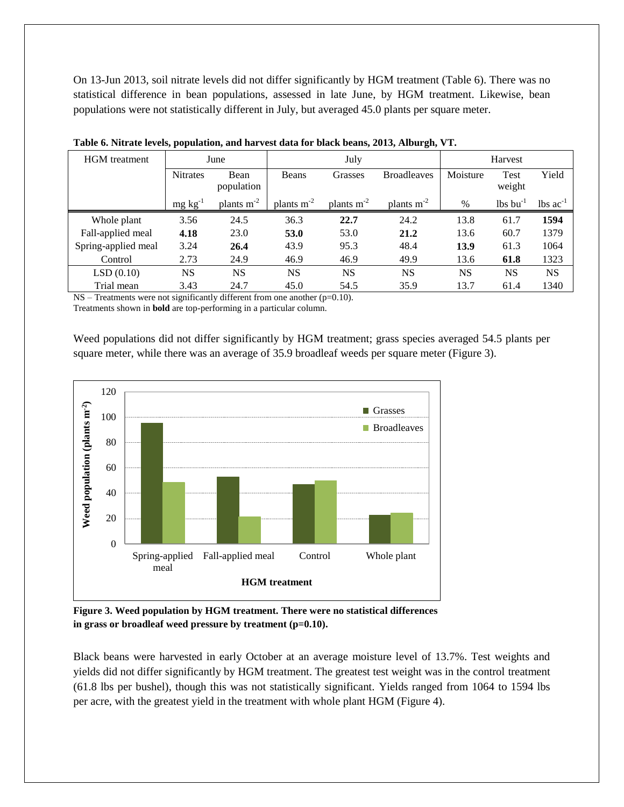On 13-Jun 2013, soil nitrate levels did not differ significantly by HGM treatment (Table 6). There was no statistical difference in bean populations, assessed in late June, by HGM treatment. Likewise, bean populations were not statistically different in July, but averaged 45.0 plants per square meter.

| <b>HGM</b> treatment |                 | June               |                 | July            | Harvest            |           |                        |                               |
|----------------------|-----------------|--------------------|-----------------|-----------------|--------------------|-----------|------------------------|-------------------------------|
|                      | <b>Nitrates</b> | Bean<br>population | Beans           | Grasses         | <b>Broadleaves</b> | Moisture  | Test<br>weight         | Yield                         |
|                      | $mg \, kg^{-1}$ | plants $m^{-2}$    | plants $m^{-2}$ | plants $m^{-2}$ | plants $m^{-2}$    | $\%$      | $lbs$ bu <sup>-1</sup> | $\text{lbs}$ ac <sup>-1</sup> |
| Whole plant          | 3.56            | 24.5               | 36.3            | 22.7            | 24.2               | 13.8      | 61.7                   | 1594                          |
| Fall-applied meal    | 4.18            | 23.0               | 53.0            | 53.0            | 21.2               | 13.6      | 60.7                   | 1379                          |
| Spring-applied meal  | 3.24            | 26.4               | 43.9            | 95.3            | 48.4               | 13.9      | 61.3                   | 1064                          |
| Control              | 2.73            | 24.9               | 46.9            | 46.9            | 49.9               | 13.6      | 61.8                   | 1323                          |
| LSD(0.10)            | NS              | <b>NS</b>          | <b>NS</b>       | <b>NS</b>       | <b>NS</b>          | <b>NS</b> | NS                     | <b>NS</b>                     |
| Trial mean           | 3.43            | 24.7               | 45.0            | 54.5            | 35.9               | 13.7      | 61.4                   | 1340                          |

|  |  |  | Table 6. Nitrate levels, population, and harvest data for black beans, 2013, Alburgh, VT. |  |
|--|--|--|-------------------------------------------------------------------------------------------|--|
|  |  |  |                                                                                           |  |
|  |  |  |                                                                                           |  |

NS – Treatments were not significantly different from one another (p=0.10).

Treatments shown in **bold** are top-performing in a particular column.

Weed populations did not differ significantly by HGM treatment; grass species averaged 54.5 plants per square meter, while there was an average of 35.9 broadleaf weeds per square meter (Figure 3).



**Figure 3. Weed population by HGM treatment. There were no statistical differences**  in grass or broadleaf weed pressure by treatment (p=0.10).

Black beans were harvested in early October at an average moisture level of 13.7%. Test weights and yields did not differ significantly by HGM treatment. The greatest test weight was in the control treatment (61.8 lbs per bushel), though this was not statistically significant. Yields ranged from 1064 to 1594 lbs per acre, with the greatest yield in the treatment with whole plant HGM (Figure 4).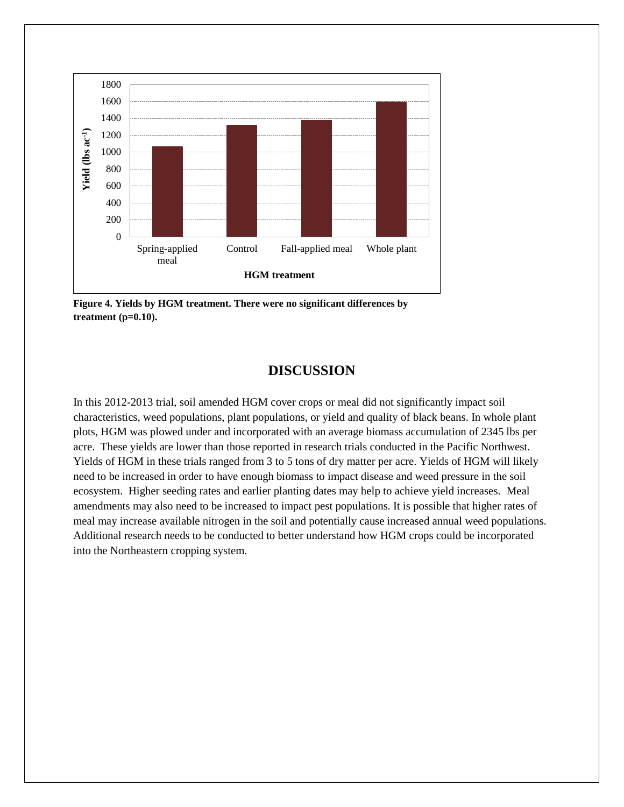

**Figure 4. Yields by HGM treatment. There were no significant differences by treatment (p=0.10).**

## **DISCUSSION**

In this 2012-2013 trial, soil amended HGM cover crops or meal did not significantly impact soil characteristics, weed populations, plant populations, or yield and quality of black beans. In whole plant plots, HGM was plowed under and incorporated with an average biomass accumulation of 2345 lbs per acre. These yields are lower than those reported in research trials conducted in the Pacific Northwest. Yields of HGM in these trials ranged from 3 to 5 tons of dry matter per acre. Yields of HGM will likely need to be increased in order to have enough biomass to impact disease and weed pressure in the soil ecosystem. Higher seeding rates and earlier planting dates may help to achieve yield increases. Meal amendments may also need to be increased to impact pest populations. It is possible that higher rates of meal may increase available nitrogen in the soil and potentially cause increased annual weed populations. Additional research needs to be conducted to better understand how HGM crops could be incorporated into the Northeastern cropping system.